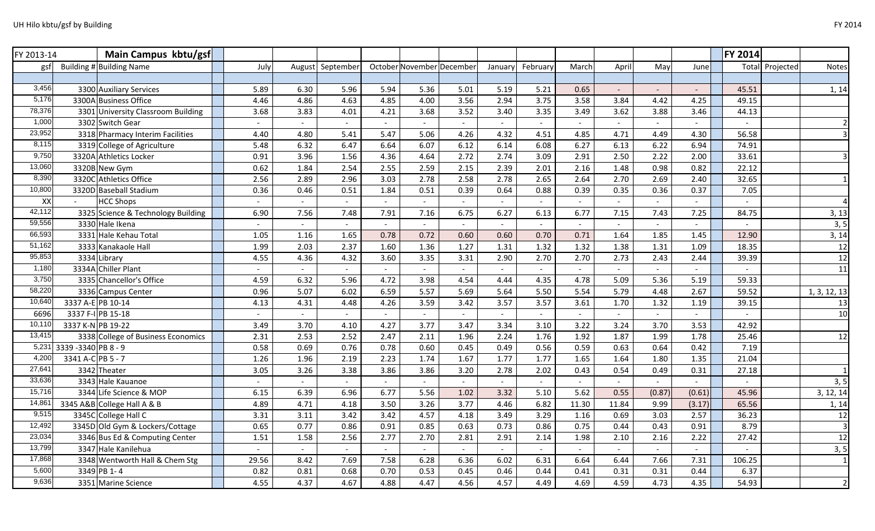| FY 2013-14 |                   | Main Campus kbtu/gsf               |                          |        |           |                |                           |        |         |          |        |                           |                          |        | FY 2014        |                 |                         |
|------------|-------------------|------------------------------------|--------------------------|--------|-----------|----------------|---------------------------|--------|---------|----------|--------|---------------------------|--------------------------|--------|----------------|-----------------|-------------------------|
| gsf        |                   | Building # Building Name           | July                     | August | September |                | October November December |        | January | February | March  | April                     | May                      | June   |                | Total Projected | Notes                   |
|            |                   |                                    |                          |        |           |                |                           |        |         |          |        |                           |                          |        |                |                 |                         |
| 3,456      |                   | 3300 Auxiliary Services            | 5.89                     | 6.30   | 5.96      | 5.94           | 5.36                      | 5.01   | 5.19    | 5.21     | 0.65   |                           |                          |        | 45.51          |                 | 1, 14                   |
| 5,176      |                   | 3300A Business Office              | 4.46                     | 4.86   | 4.63      | 4.85           | 4.00                      | 3.56   | 2.94    | 3.75     | 3.58   | 3.84                      | 4.42                     | 4.25   | 49.15          |                 |                         |
| 78,376     |                   | 3301 University Classroom Building | 3.68                     | 3.83   | 4.01      | 4.21           | 3.68                      | 3.52   | 3.40    | 3.35     | 3.49   | 3.62                      | 3.88                     | 3.46   | 44.13          |                 |                         |
| 1,000      |                   | 3302 Switch Gear                   |                          |        |           |                |                           |        |         |          |        |                           |                          |        |                |                 |                         |
| 23,952     |                   | 3318 Pharmacy Interim Facilities   | 4.40                     | 4.80   | 5.41      | 5.47           | 5.06                      | 4.26   | 4.32    | 4.51     | 4.85   | 4.71                      | 4.49                     | 4.30   | 56.58          |                 |                         |
| 8,115      |                   | 3319 College of Agriculture        | 5.48                     | 6.32   | 6.47      | 6.64           | 6.07                      | 6.12   | 6.14    | 6.08     | 6.27   | 6.13                      | 6.22                     | 6.94   | 74.91          |                 |                         |
| 9,750      |                   | 3320A Athletics Locker             | 0.91                     | 3.96   | 1.56      | 4.36           | 4.64                      | 2.72   | 2.74    | 3.09     | 2.91   | 2.50                      | 2.22                     | 2.00   | 33.61          |                 |                         |
| 13,060     |                   | 3320B New Gym                      | 0.62                     | 1.84   | 2.54      | 2.55           | 2.59                      | 2.15   | 2.39    | 2.01     | 2.16   | 1.48                      | 0.98                     | 0.82   | 22.12          |                 |                         |
| 8,390      |                   | 3320C Athletics Office             | 2.56                     | 2.89   | 2.96      | 3.03           | 2.78                      | 2.58   | 2.78    | 2.65     | 2.64   | 2.70                      | 2.69                     | 2.40   | 32.65          |                 |                         |
| 10,800     |                   | 3320D Baseball Stadium             | 0.36                     | 0.46   | 0.51      | 1.84           | 0.51                      | 0.39   | 0.64    | 0.88     | 0.39   | 0.35                      | 0.36                     | 0.37   | 7.05           |                 |                         |
| XX         |                   | <b>HCC Shops</b>                   |                          |        |           |                |                           | $\sim$ |         | $\sim$   |        | $\sim$                    |                          |        |                |                 | $\Delta$                |
| 42,112     |                   | 3325 Science & Technology Building | 6.90                     | 7.56   | 7.48      | 7.91           | 7.16                      | 6.75   | 6.27    | 6.13     | 6.77   | 7.15                      | 7.43                     | 7.25   | 84.75          |                 | 3, 13                   |
| 59,556     |                   | 3330 Hale Ikena                    |                          |        |           |                |                           | $\sim$ |         | $\sim$   |        | $\sim$                    |                          |        |                |                 | 3, 5                    |
| 66,593     |                   | 3331 Hale Kehau Total              | 1.05                     | 1.16   | 1.65      | 0.78           | 0.72                      | 0.60   | 0.60    | 0.70     | 0.71   | 1.64                      | 1.85                     | 1.45   | 12.90          |                 | 3, 14                   |
| 51,162     |                   | 3333 Kanakaole Hall                | 1.99                     | 2.03   | 2.37      | 1.60           | 1.36                      | 1.27   | 1.31    | 1.32     | 1.32   | 1.38                      | 1.31                     | 1.09   | 18.35          |                 | 12                      |
| 95,853     |                   | 3334 Library                       | 4.55                     | 4.36   | 4.32      | 3.60           | 3.35                      | 3.31   | 2.90    | 2.70     | 2.70   | 2.73                      | 2.43                     | 2.44   | 39.39          |                 | 12                      |
| 1,180      |                   | 3334A Chiller Plant                |                          |        |           | $\overline{a}$ |                           | $\sim$ |         | $\sim$   |        | $\sim$                    | $\sim$                   | $\sim$ | $\overline{a}$ |                 | 11                      |
| 3,750      |                   | 3335 Chancellor's Office           | 4.59                     | 6.32   | 5.96      | 4.72           | 3.98                      | 4.54   | 4.44    | 4.35     | 4.78   | 5.09                      | 5.36                     | 5.19   | 59.33          |                 |                         |
| 58,220     |                   | 3336 Campus Center                 | 0.96                     | 5.07   | 6.02      | 6.59           | 5.57                      | 5.69   | 5.64    | 5.50     | 5.54   | 5.79                      | 4.48                     | 2.67   | 59.52          |                 | 1, 3, 12, 13            |
| 10,640     | 3337 A-E PB 10-14 |                                    | 4.13                     | 4.31   | 4.48      | 4.26           | 3.59                      | 3.42   | 3.57    | 3.57     | 3.61   | 1.70                      | 1.32                     | 1.19   | 39.15          |                 | 13                      |
| 6696       | 3337 F-I PB 15-18 |                                    |                          | $\sim$ |           | $\sim$         | $\sim$                    | $\sim$ | $\sim$  | $\sim$   | $\sim$ | $\mathbb{Z}^{\mathbb{Z}}$ | $\overline{\phantom{a}}$ | $\sim$ | $\sim$         |                 | 10                      |
| 10,110     | 3337 K-N PB 19-22 |                                    | 3.49                     | 3.70   | 4.10      | 4.27           | 3.77                      | 3.47   | 3.34    | 3.10     | 3.22   | 3.24                      | 3.70                     | 3.53   | 42.92          |                 |                         |
| 13,415     |                   | 3338 College of Business Economics | 2.31                     | 2.53   | 2.52      | 2.47           | 2.11                      | 1.96   | 2.24    | 1.76     | 1.92   | 1.87                      | 1.99                     | 1.78   | 25.46          |                 | 12                      |
| 5,231      | 3339-3340 PB 8-9  |                                    | 0.58                     | 0.69   | 0.76      | 0.78           | 0.60                      | 0.45   | 0.49    | 0.56     | 0.59   | 0.63                      | 0.64                     | 0.42   | 7.19           |                 |                         |
| 4,200      | 3341 A-C PB 5 - 7 |                                    | 1.26                     | 1.96   | 2.19      | 2.23           | 1.74                      | 1.67   | 1.77    | 1.77     | 1.65   | 1.64                      | 1.80                     | 1.35   | 21.04          |                 |                         |
| 27,641     |                   | 3342 Theater                       | 3.05                     | 3.26   | 3.38      | 3.86           | 3.86                      | 3.20   | 2.78    | 2.02     | 0.43   | 0.54                      | 0.49                     | 0.31   | 27.18          |                 |                         |
| 33,636     |                   | 3343 Hale Kauanoe                  | $\overline{\phantom{a}}$ | $\sim$ |           | $\sim$         |                           | $\sim$ |         | $\sim$   |        | $\sim$                    | $\sim$                   | $\sim$ |                |                 | 3, 5                    |
| 15,716     |                   | 3344 Life Science & MOP            | 6.15                     | 6.39   | 6.96      | 6.77           | 5.56                      | 1.02   | 3.32    | 5.10     | 5.62   | 0.55                      | (0.87)                   | (0.61) | 45.96          |                 | 3, 12, 14               |
| 14,861     |                   | 3345 A&B College Hall A & B        | 4.89                     | 4.71   | 4.18      | 3.50           | 3.26                      | 3.77   | 4.46    | 6.82     | 11.30  | 11.84                     | 9.99                     | (3.17) | 65.56          |                 | 1, 14                   |
| 9,515      |                   | 3345C College Hall C               | 3.31                     | 3.11   | 3.42      | 3.42           | 4.57                      | 4.18   | 3.49    | 3.29     | 1.16   | 0.69                      | 3.03                     | 2.57   | 36.23          |                 | 12                      |
| 12,492     |                   | 3345D Old Gym & Lockers/Cottage    | 0.65                     | 0.77   | 0.86      | 0.91           | 0.85                      | 0.63   | 0.73    | 0.86     | 0.75   | 0.44                      | 0.43                     | 0.91   | 8.79           |                 | $\overline{\mathbf{3}}$ |
| 23,034     |                   | 3346 Bus Ed & Computing Center     | 1.51                     | 1.58   | 2.56      | 2.77           | 2.70                      | 2.81   | 2.91    | 2.14     | 1.98   | 2.10                      | 2.16                     | 2.22   | 27.42          |                 | 12                      |
| 13,799     |                   | 3347 Hale Kanilehua                |                          |        |           |                |                           |        |         |          |        | $\sim$                    |                          |        |                |                 | 3, 5                    |
| 17,868     |                   | 3348 Wentworth Hall & Chem Stg     | 29.56                    | 8.42   | 7.69      | 7.58           | 6.28                      | 6.36   | 6.02    | 6.31     | 6.64   | 6.44                      | 7.66                     | 7.31   | 106.25         |                 |                         |
| 5,600      |                   | 3349 PB 1-4                        | 0.82                     | 0.81   | 0.68      | 0.70           | 0.53                      | 0.45   | 0.46    | 0.44     | 0.41   | 0.31                      | 0.31                     | 0.44   | 6.37           |                 |                         |
| 9,636      |                   | 3351 Marine Science                | 4.55                     | 4.37   | 4.67      | 4.88           | 4.47                      | 4.56   | 4.57    | 4.49     | 4.69   | 4.59                      | 4.73                     | 4.35   | 54.93          |                 |                         |